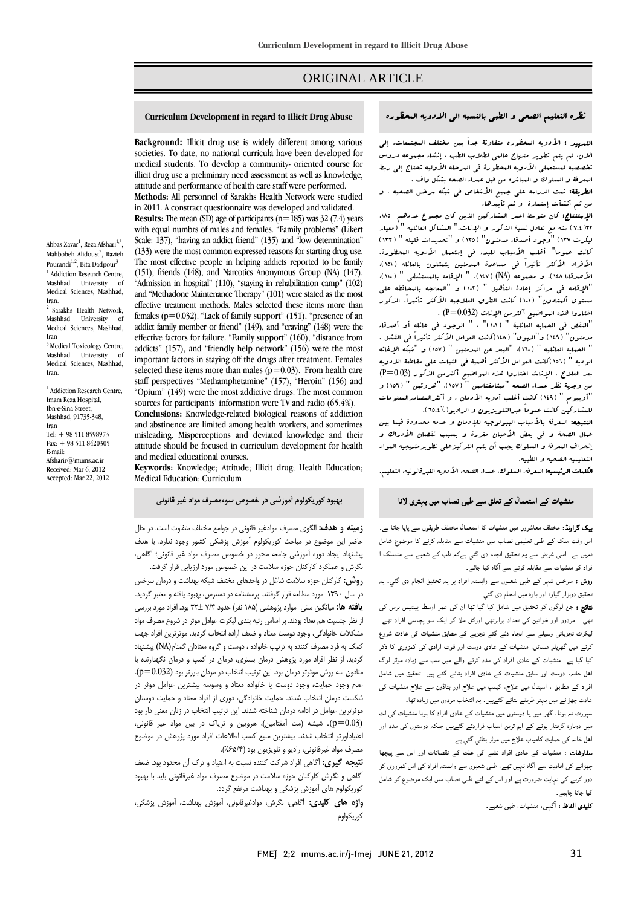# ORIGINAL ARTICLE

#### Curriculum Development in regard to Illicit Drug Abuse

Ī  $\overline{a}$ 

**Background:** Illicit drug use is widely different among various medical students. To develop a community- oriented course for illicit drug use a preliminary need assessment as well as knowledge, **Methods:** All personnel of Sarakhs Health Network were studied societies. To date, no national curricula have been developed for attitude and performance of health care staff were performed.

 in 2011. A constract questionnaire was developed and validated. with equal numbrs of males and females. "Family problems" (Likert Scale: 137), "having an addict friend" (135) and "low determination" (133) were the most common expressed reasons for starting drug use. (151), friends (148), and Narcotics Anonymous Group (NA) (147). "Admission in hospital" (110), "staying in rehabilitation camp" (102) effective treatment methods. Males selected these items more than females ( $p=0.032$ ). "Lack of family support" (151), "presence of an effective factors for failure. "Family support"  $(160)$ , "distance from addicts" (157), and "friendly help network" (156) were the most miportant factors in staying on the trugs after treatment. Females selected these items more than males  $(p=0.03)$ . From health care staff perspectives "Methamphetamine" (157), "Heroin" (156) and sources for participants' information were TV and radio (65.4%). **Results:** The mean (SD) age of participants  $(n=185)$  was 32 (7.4) years The most effective people in helping addicts reported to be family and "Methadone Maintenance Therapy" (101) were stated as the most addict family member or friend" (149), and "craving" (148) were the important factors in staying off the drugs after treatment. Females "Opium" (149) were the most addictive drugs. The most common

 **Conclusions:** Knowledge-related biological reasons of addiction and abstinence are limited among health workers, and sometimes attitude should be focused in curriculum development for health misleading. Misperceptions and deviated knowledge and their and medical educational courses.

 **Keywords:** Knowledge; Attitude; Illicit drug; Health Education; Medical Education; Curriculum

# **بهبود كوريكولوم آموزشي در خصوص سوءمصرف مواد غير قانوني**

 **زمينه و هدف:** الگوي مصرف موادغير قانوني در جوامع مختلف متفاوت است. در حال حاضر اين موضوع در مباحث كوريكولوم آموزش پزشكي كشور وجود ندارد. با هدف پيشنهاد ايجاد دوره آموزشي جامعه محور در خصوص مصرف مواد غير قانوني؛ آگاهي، نگرش و عملكرد كاركنان حوزه سلامت در اين خصوص مورد ارزيابي قرار گرفت. **روش:** كاركنان حوزه سلامت شاغل در واحدهاي مختلف شبكه بهداشت و درمان سرخس يار سال ۱۱۰۰ نفورد مضايعه حزار برخسته پرسستامه باز بسترس، پهبود پايت و معينز برديد.<br>**يافته ها:** ميانگين سني موارد پژوهشي (۱۸۵ نفر) حدود ۲۷۴ تا 1۳ بود. افراد مورد بررسي ..<br>ز نظر جنسيت هم تعداد بودند. بر اساس رتبه بندي ليكرت عوامل موثر در شروع مصرف مواد مشكلات خانوادگي، وجود دوست معتاد و ضعف اراده انتخاب گرديد. موثرترين افراد جهت كمك به فرد مصرف كننده به ترتيب خانواده ، دوست و گروه معتادان گمنام(NA (پيشنهاد گرديد. از نظر افراد مورد پژوهش درمان بستري، درمان در كمپ و درمان نگهدارنده با عدمون عد روس موتربر درسان يونا ،ين تربيب اعتادت در مردان بارزبر بود رندرد...»<br>عدم وجود حمايت، وجود دوست يا خانواده معتاد و وسوسه بيشترين عوامل موثر در شكست درمان انتخاب شدند. حمايت خانوادگي، دوري از افراد معتاد و حمايت دوستان موثرترين عوامل در ادامه درمان شناخته شدند. اين ترتيب انتخاب در زنان معني دار بود (0.03=p(. شيشه (مت آمفتامين)، هرويين و ترياك در بين مواد غير قانوني، اعتيادآورتر انتخاب شدند. بيشترين منبع كسب اطلاعات افراد مورد پژوهش در موضوع **نتيجه گيري:** آگاهي افراد شركت كننده نسبت به اعتياد و ترك آن محدود بود. ضعف آگاهي و نگرش كاركنان حوزه سلامت در موضوع مصرف مواد غيرقانوني بايد با بهبود

در سال 1390 مورد مطالعه قرار گرفتند. پرسشنامه در دسترس، بهبود يافته و معتبر گرديد.

متادون سه روش موثرتر درمان بود. اين ترتيب انتخاب در مردان بارزتر بود (0.032=p(.

نظره التعليم الصحى و الطبى بالنسبه الى الادويه ال**مطوره للمسلوم Curriculum Development in regard to Illicit Drug** Abuse

Ī  $\overline{a}$ 

ا**لتسهيد :** الأدويه البحظوره متفاوتة جداً بين مختلف البجتمعات. إلى<br>. تخصصيه لمستعملي الأدويه المحظورة في المرحله الأوليه تحتاج إلي ربط المعرفة و السلوك و المباشره من قبل عمداء الصحه بشكل واف . الان، لم يتم تطوير منهاج عالمي لطلاب الطب ، إنشاء مجموعه دروس

ا**لطريقة:** تـمت الدراسه على جـميع الأشخاص فى شٖكه سرخـں الصحيه ، و من ثم أنشأت إستمارة او تم تأييدها.<br>المدرسته دولار المدرس المدرسات المركب

ء<br>٢٢ (٧.٤ ) سنه مع تعادل نسبة الذكور و الإناث." العشاكل العائليه " ( معيار ليكرت 137) "وجود أصدقاء مدمنون" (135) و "تحديدات قليله " (133) كانت عموما" أغلب الأسباب للبدء في إستعمال الأدويه المحظورة. الأصدقاء(148)، و مجموعه (NA) (147(. " الإقامه بالمستشفي " (110)، "الإقامه في مراكز إعادة التأهيل " (102) و "المعالجه بالمحافظه علي مستوي ألمتادون" (101) كانت الطرق العلاجيه الأكثر تأثيرا.ً الذكور الإستنتاج: كان متوسط اعمر المشاركين الذين كان مجموع عددهم ،185 الأفراد الأكثر تأثيراً في مساعدة المدمنين يتمثلون بالعائله (151)، اختاروا هذه المواضيع أكثرمن الإناث (0.032=P (.

هساروا عده المواطيع الترمن الإياب (10.02) ،<br>"النقص في الصيابه العائلية " (١٨١)" ، " الوجود في عائله أو أصدقاء مدمنون" (149) و"الهوي" (148)كانت العوامل الأكثر تأثيراً في الفشل . " الحمايه العائليه " (160)، "البعد عن المدمنين " (157) و "شبكه الإغاثه  $\ddot{\phantom{0}}$ بعد العلاج . الإناث اختاروا هذه البواضيع أكثرمن الذكور (P=0.03)<br>بدء وجدة نظ عبدا، الصعه "مشايفتاميد " (١٥٧ ). "هر وتيد " (١٥٦ ) و "أوبيوم " (149) كانت أغلب أدويه الأدمان . و أكثرالمصادرالمعلومات للمشاركين كانت عموماً عبرالتلويزيون و الراديو(65.4%). الوديه " (156)كانت العوامل الأكثر أهمية في الثبات علي مقاطعة الادويه من وجهة نظر عمداء الصحه "ميثامفتامين " (157)، "هروئين " (156) و

التعليمة المعربة بالاحياب البيولوجية للإدمان و عدمة معدودة لينا بين<br>عمال الصحة و في بعض الأحيان مغررة و بسبب نقصان الأدراك و إنحراف المعرفة و السلوك يجب أن يتم التركيزعلي تطويرمنهجيه المواد التعليميه الصحيه و الطبيه. النتيجه: المعرفة بالأسباب البيولوجيه للإدمان و عدمه محدودة فيما بين

الكلمات الرئيسيه: المعرفه، السلوك، عمداء الصحه، الأدويه الغيرقانونيه، التعليم.

# منشیات کے استعمال کے تعلق سے طبی نصاب میں بہتری لانا

 بیک گراونڈ: مختلف معاشروں میں منشیات کا استعمال مختلف طریقوں سے پایا جاتا ہے۔ اس وقت ملک کے طبی تعلیمی نصاب میں منشیات سے مقابلہ کرنے کا موضوع شامل نہیں ہے۔ اسی غرض سے یہ تحقیق انجام دی گئي ہےکہ طب کے شعبے سے منسلک ا فراد کو منشیات سے مقابلہ کرنے سے آگاہ کیا جائے۔

**روش :** سرخس شہر کے طبی شعبوں سے وابستہ افراد پر یہ تحقیق انجام دی گئي۔ یہ<br>۔ تحقیق دوہزار گيارہ اور بارہ میں انجام دی گئي۔

نتعیق تزہرار نیازہ اور بازہ میں انتہام دی سمی۔<br>ن**تائیج :** جن لوگوں کو تحقیق میں شامل کیا گیا تھا ان کی عمر اوسطا پینتیس برس کی تھی ۔ مردوں اور خواتین کی تعداد برابرتھی اورکل ملا کر ایک سو پچاسی افراد تھے۔ لیکرٹ تجزیاتی وسیلے سے انجام دئے گئے تجزيے کے مطابق منشیات کی عادت شروع کرنے میں گھریلو مسائل، منشیات کے عادی دوست اور قوت ارادی کی کمزوری کا ذکر کیا گيا ہے۔ منشیات کے عادی افراد کی مدد کرنے والے میں سب سے زیادہ موثر لوگ اھل خانہ، دوست اور سابق منشیات کے عادی افراد بتائے گئے ہیں۔ تحقیق میں شامل<br>سد کے مطابق میں اس سامن کے عادی میں شامل میں عادت چھڑانے میں بہتر طریقے بتائے گئےہیں۔ یہ انتخاب مردوں میں زیادہ تھا۔ افراد کے مطابق ، اسپتال میں علاج، کیمپ میں علاج اور بٹاڈون سے علاج منشیات کی

 سپورٹ نہ ہونا، گھر میں یا دوستوں میں منشیات کے عادی افراد کا ہونا منشیات کی لت میں دوبارہ گرفتار ہونے کے اہم ترین اسباب قراردئے گئےہیں جبکہ دوستوں کی مدد اور اھل خانہ کی حمایت کامیاب علاج میں موثر بتائي گئي ہے۔

**سفارشات :** منشیات کے عادی افراد نشے کی علت کے نقصانات اور اس سے پیچھا<br>۔۔۔۔۔۔۔۔۔۔۔۔۔۔۔۔۔۔۔۔۔۔۔۔۔۔۔۔۔ پھر نے سی مانیت سے معہ نہیں بھے، سبی سنبرن سے ویسنہ مراہ سی میں سروری ہو۔<br>دور کرنے کی نہایت ضرورت ہے اور اس کے لئے طبی نصاب میں ایک موضوع کو شامل چھڑانے کی افادیت سے آگاہ نہیں تھے، طبی شعبوں سے وابستہ افراد کی اس کمزوری کو کیا جانا چاہیے۔

کلیدی الفاظ : آگہی، منشیات، طبی شعبے۔

Abbas Zavar<sup>1</sup>, Reza Afshari<sup>1,\*</sup>, Mahbobeh Alidoust<sup>2</sup>, Razieh Pourandi<sup>1,2</sup>, Bita Dadpour<sup>3</sup> <sup>1</sup> Addiction Research Centre Mashhad University of Medical Sciences, Mashhad, Iran. <sup>2</sup> Sarakhs Health Network, Mashhad University of Medical Sciences, Mashhad, Iran 3 Medical Toxicology Centre, Mashhad University of

Medical Sciences, Mashhad, Iran.

\* Addiction Research Centre, Imam Reza Hospital, Ibn-e-Sina Street, Mashhad, 91735-348, Iran Tel: + 98 511 8598973 Fax: + 98 511 8420305 E-mail: Afsharir $@$ mums ac in Received: Mar 6, 2012 Accepted: Mar 22, 2012

كوريكولوم

كوريكولوم هاي آموزش پزشكي و بهداشت مرتفع گردد.

مصرف مواد غيرقانوني، راديو و تلويزيون بود (%65/4).

**واژه هاي كليدي:** آگاهي، نگرش، موادغيرقانوني، آموزش بهداشت، آموزش پزشكي،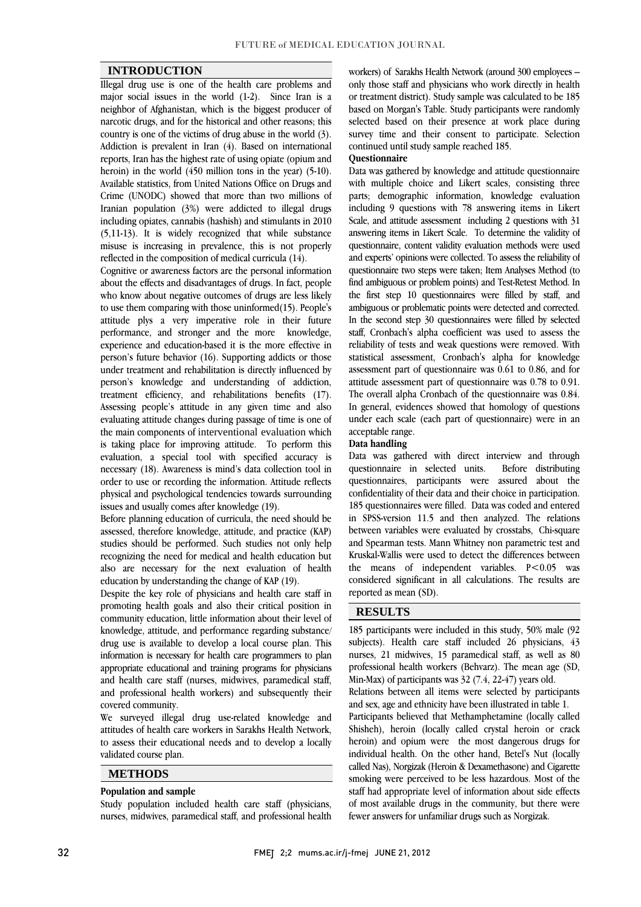#### **INTRODUCTION**

 Illegal drug use is one of the health care problems and major social issues in the world (1-2). Since Iran is a neignbor of Alguanistan, which is the biggest producer of<br>narcotic drugs, and for the historical and other reasons; this country is one of the victims of drug abuse in the world (3). Addiction is prevalent in Iran (4). Based on international reports, Iran has the highest rate of using opiate (opium and Available statistics, from United Nations Office on Drugs and Crime (UNODC) showed that more than two millions of Iranian population (3%) were addicted to illegal drugs including opiates, cannabis (hashish) and stimulants in 2010 misuse is increasing in prevalence, this is not properly neighbor of Afghanistan, which is the biggest producer of heroin) in the world (450 million tons in the year) (5-10). (5,11-13). It is widely recognized that while substance reflected in the composition of medical curricula (14).

 Cognitive or awareness factors are the personal information about the effects and disadvantages of drugs. In fact, people to use them comparing with those uninformed(15). People's attitude plys a very imperative role in their future knowledge, experience and education-based it is the more effective in under treatment and rehabilitation is directly influenced by person's knowledge and understanding of addiction, treatment efficiency, and rehabilitations benefits (17). Assessing people's attitude in any given time and also<br>evaluating attitude changes during passage of time is one of the main components of interventional evaluation which is taking place for improving attitude. To perform this evaluation, a special tool with specified accuracy is order to use or recording the information. Attitude reflects physical and psychological tendencies towards surrounding who know about negative outcomes of drugs are less likely performance, and stronger and the more person's future behavior (16). Supporting addicts or those Assessing people's attitude in any given time and also necessary (18). Awareness is mind's data collection tool in issues and usually comes after knowledge (19).

 Before planning education of curricula, the need should be assessed, therefore knowledge, attitude, and practice (KM) recognizing the need for medical and health education but also are necessary for the next evaluation of health assessed, therefore knowledge, attitude, and practice (KAP) education by understanding the change of KAP (19).

equeation by understanding the change of KAP (19).<br>Despite the key role of physicians and health care staff in promoting health goals and also their critical position in community education, little information about their level of knowledge, attitude, and performance regarding substance/ drug use is available to develop a local course plan. This appropriate educational and training programs for physicians and health care staff (nurses, midwives, paramedical staff, and professional health workers) and subsequently their information is necessary for health care programmers to plan covered community.

 We surveyed illegal drug use-related knowledge and attitudes of health care workers in Sarakhs Health Network, to assess their educational needs and to develop a locally validated course plan.

# **METHODS**

#### **Population and sample**

 Study population included health care staff (physicians, nurses, midwives, paramedical staff, and professional health

 only those staff and physicians who work directly in health or treatment district). Study sample was calculated to be 185 based on morgan's rabie, study participants were randomly<br>selected based on their presence at work place during survey time and their consent to participate. Selection workers) of Sarakhs Health Network (around 300 employees – based on Morgan's Table. Study participants were randomly continued until study sample reached 185.

#### **Questionnaire**

**Questionnaire**<br>Data was gathered by knowledge and attitude questionnaire with multiple choice and Likert scales, consisting three parts; demographic information, knowledge evaluation including 9 questions with 78 answering items in Likert Scale, and attitude assessment including 2 questions with 31 questionnaire, content validity evaluation methods were used and experts' opinions were collected. To assess the reliability of questionnaire two steps were taken; Item Analyses Method (to the first step 10 questionnaires were filled by staff, and ambiguous or problematic points were detected and corrected. In the second step 30 questionnaires were filled by selected staff, Cronbach's alpha coefficient was used to assess the statistical assessment, Cronbach's alpha for knowledge assessment part of questionnaire was 0.61 to 0.86, and for attitude assessment part of questionnaire was 0.78 to 0.91. The overall alpha Cronbach of the questionnaire was 0.84. under each scale (each part of questionnaire) were in an answering items in Likert Scale. To determine the validity of find ambiguous or problem points) and Test-Retest Method. In reliability of tests and weak questions were removed. With In general, evidences showed that homology of questions acceptable range.

#### **Data handling**

 Data was gathered with direct interview and through questionnaires, participants were assured about the confidentiality of their data and their choice in participation. 185 questionnaires were filled. Data was coded and entered in SPSS-version 11.5 and then analyzed. The relations and Spearman tests. Mann Whitney non parametric test and Kruskal-Wallis were used to detect the differences between the means of independent variables. P<0.05 was considered significant in all calculations. The results are  $\overline{a}$ questionnaire in selected units. Before distributing between variables were evaluated by crosstabs, Chi-square reported as mean (SD).

## **RESULTS**

 $\overline{a}$  185 participants were included in this study, 50% male (92 subjects). Treature care start included 20 physicians, 45<br>nurses, 21 midwives, 15 paramedical staff, as well as 80 professional health workers (Behvarz). The mean age (SD, Relations between all items were selected by participants Participants believed that Methamphetamine (locally called Shisheh), heroin (locally called crystal heroin or crack heroin) and opium were the most dangerous drugs for individual health. On the other hand, Betel's Nut (locally subjects). Health care staff included 26 physicians, 43 Min-Max) of participants was 32 (7.4, 22-47) years old. and sex, age and ethnicity have been illustrated in table 1.

smoking were perceived to be less hazardous. Most of the staff had appropriate level of information about side effects of most available drugs in the community, but there were called Nas), Norgizak (Heroin & Dexamethasone) and Cigarette fewer answers for unfamiliar drugs such as Norgizak.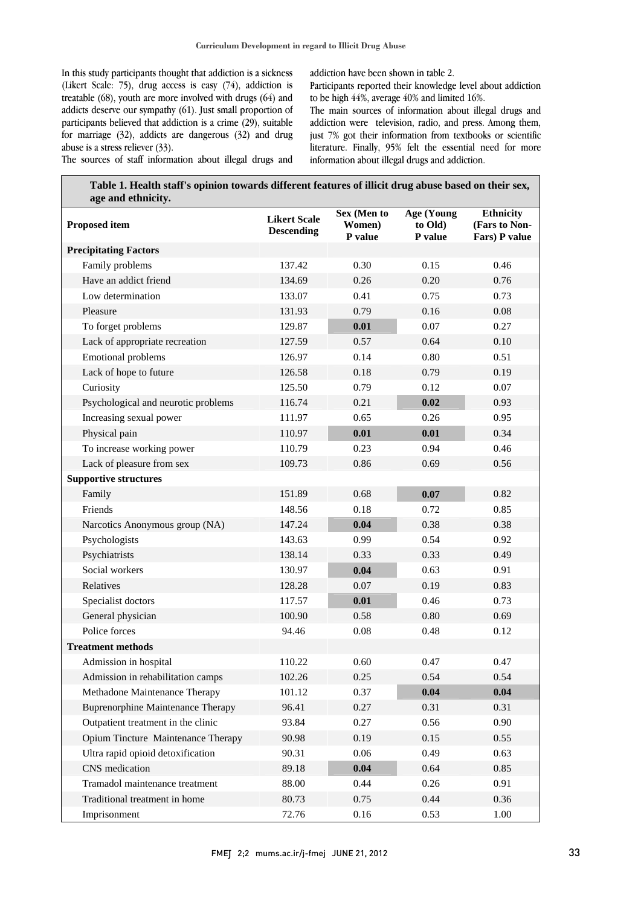In this study participants thought that addiction is a sickness (Likert Scale: 75), drug access is easy (74), addiction is treatable (68), youth are more involved with drugs (64) and addicts deserve our sympathy  $(61)$ . Just small proportion of for marriage  $(32)$ , addicts are dangerous  $(32)$  and drug The sources of staff information about illegal drugs and participants believed that addiction is a crime (29), suitable abuse is a stress reliever (33).

addiction have been shown in table 2.

 Participants reported their knowledge level about addiction to be high 44%, average 40% and limited 16%.

 The main sources of information about illegal drugs and just 7% got their information from textbooks or scientific addiction were television, radio, and press. Among them, literature. Finally, 95% felt the essential need for more information about illegal drugs and addiction.

| Table 1. Health staff's opinion towards different features of illicit drug abuse based on their sex,<br>age and ethnicity. |                                          |                                  |                                  |                                                    |  |  |
|----------------------------------------------------------------------------------------------------------------------------|------------------------------------------|----------------------------------|----------------------------------|----------------------------------------------------|--|--|
| <b>Proposed item</b>                                                                                                       | <b>Likert Scale</b><br><b>Descending</b> | Sex (Men to<br>Women)<br>P value | Age (Young<br>to Old)<br>P value | <b>Ethnicity</b><br>(Fars to Non-<br>Fars) P value |  |  |
| <b>Precipitating Factors</b>                                                                                               |                                          |                                  |                                  |                                                    |  |  |
| Family problems                                                                                                            | 137.42                                   | 0.30                             | 0.15                             | 0.46                                               |  |  |
| Have an addict friend                                                                                                      | 134.69                                   | 0.26                             | 0.20                             | 0.76                                               |  |  |
| Low determination                                                                                                          | 133.07                                   | 0.41                             | 0.75                             | 0.73                                               |  |  |
| Pleasure                                                                                                                   | 131.93                                   | 0.79                             | 0.16                             | 0.08                                               |  |  |
| To forget problems                                                                                                         | 129.87                                   | 0.01                             | 0.07                             | 0.27                                               |  |  |
| Lack of appropriate recreation                                                                                             | 127.59                                   | 0.57                             | 0.64                             | 0.10                                               |  |  |
| Emotional problems                                                                                                         | 126.97                                   | 0.14                             | 0.80                             | 0.51                                               |  |  |
| Lack of hope to future                                                                                                     | 126.58                                   | 0.18                             | 0.79                             | 0.19                                               |  |  |
| Curiosity                                                                                                                  | 125.50                                   | 0.79                             | 0.12                             | 0.07                                               |  |  |
| Psychological and neurotic problems                                                                                        | 116.74                                   | 0.21                             | 0.02                             | 0.93                                               |  |  |
| Increasing sexual power                                                                                                    | 111.97                                   | 0.65                             | 0.26                             | 0.95                                               |  |  |
| Physical pain                                                                                                              | 110.97                                   | 0.01                             | 0.01                             | 0.34                                               |  |  |
| To increase working power                                                                                                  | 110.79                                   | 0.23                             | 0.94                             | 0.46                                               |  |  |
| Lack of pleasure from sex                                                                                                  | 109.73                                   | 0.86                             | 0.69                             | 0.56                                               |  |  |
| <b>Supportive structures</b>                                                                                               |                                          |                                  |                                  |                                                    |  |  |
| Family                                                                                                                     | 151.89                                   | 0.68                             | 0.07                             | 0.82                                               |  |  |
| Friends                                                                                                                    | 148.56                                   | 0.18                             | 0.72                             | 0.85                                               |  |  |
| Narcotics Anonymous group (NA)                                                                                             | 147.24                                   | 0.04                             | 0.38                             | 0.38                                               |  |  |
| Psychologists                                                                                                              | 143.63                                   | 0.99                             | 0.54                             | 0.92                                               |  |  |
| Psychiatrists                                                                                                              | 138.14                                   | 0.33                             | 0.33                             | 0.49                                               |  |  |
| Social workers                                                                                                             | 130.97                                   | 0.04                             | 0.63                             | 0.91                                               |  |  |
| Relatives                                                                                                                  | 128.28                                   | 0.07                             | 0.19                             | 0.83                                               |  |  |
| Specialist doctors                                                                                                         | 117.57                                   | 0.01                             | 0.46                             | 0.73                                               |  |  |
| General physician                                                                                                          | 100.90                                   | 0.58                             | 0.80                             | 0.69                                               |  |  |
| Police forces                                                                                                              | 94.46                                    | 0.08                             | 0.48                             | 0.12                                               |  |  |
| <b>Treatment methods</b>                                                                                                   |                                          |                                  |                                  |                                                    |  |  |
| Admission in hospital                                                                                                      | 110.22                                   | 0.60                             | 0.47                             | 0.47                                               |  |  |
| Admission in rehabilitation camps                                                                                          | 102.26                                   | 0.25                             | 0.54                             | 0.54                                               |  |  |
| Methadone Maintenance Therapy                                                                                              | 101.12                                   | 0.37                             | 0.04                             | 0.04                                               |  |  |
| <b>Buprenorphine Maintenance Therapy</b>                                                                                   | 96.41                                    | 0.27                             | 0.31                             | 0.31                                               |  |  |
| Outpatient treatment in the clinic                                                                                         | 93.84                                    | 0.27                             | 0.56                             | 0.90                                               |  |  |
| Opium Tincture Maintenance Therapy                                                                                         | 90.98                                    | 0.19                             | 0.15                             | 0.55                                               |  |  |
| Ultra rapid opioid detoxification                                                                                          | 90.31                                    | 0.06                             | 0.49                             | 0.63                                               |  |  |
| CNS medication                                                                                                             | 89.18                                    | 0.04                             | 0.64                             | 0.85                                               |  |  |
| Tramadol maintenance treatment                                                                                             | 88.00                                    | 0.44                             | 0.26                             | 0.91                                               |  |  |
| Traditional treatment in home                                                                                              | 80.73                                    | 0.75                             | 0.44                             | 0.36                                               |  |  |
| Imprisonment                                                                                                               | 72.76                                    | 0.16                             | 0.53                             | 1.00                                               |  |  |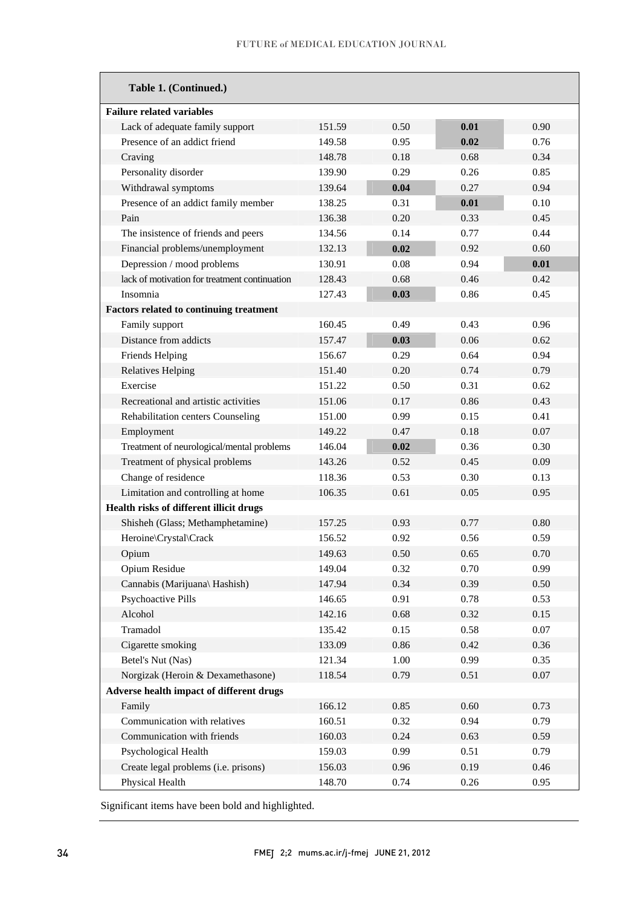| Table 1. (Continued.)                         |        |      |      |          |
|-----------------------------------------------|--------|------|------|----------|
| <b>Failure related variables</b>              |        |      |      |          |
| Lack of adequate family support               | 151.59 | 0.50 | 0.01 | 0.90     |
| Presence of an addict friend                  | 149.58 | 0.95 | 0.02 | 0.76     |
| Craving                                       | 148.78 | 0.18 | 0.68 | 0.34     |
| Personality disorder                          | 139.90 | 0.29 | 0.26 | 0.85     |
| Withdrawal symptoms                           | 139.64 | 0.04 | 0.27 | 0.94     |
| Presence of an addict family member           | 138.25 | 0.31 | 0.01 | 0.10     |
| Pain                                          | 136.38 | 0.20 | 0.33 | 0.45     |
| The insistence of friends and peers           | 134.56 | 0.14 | 0.77 | 0.44     |
| Financial problems/unemployment               | 132.13 | 0.02 | 0.92 | 0.60     |
| Depression / mood problems                    | 130.91 | 0.08 | 0.94 | 0.01     |
| lack of motivation for treatment continuation | 128.43 | 0.68 | 0.46 | 0.42     |
| Insomnia                                      | 127.43 | 0.03 | 0.86 | 0.45     |
| Factors related to continuing treatment       |        |      |      |          |
| Family support                                | 160.45 | 0.49 | 0.43 | 0.96     |
| Distance from addicts                         | 157.47 | 0.03 | 0.06 | 0.62     |
| Friends Helping                               | 156.67 | 0.29 | 0.64 | 0.94     |
| <b>Relatives Helping</b>                      | 151.40 | 0.20 | 0.74 | 0.79     |
| Exercise                                      | 151.22 | 0.50 | 0.31 | 0.62     |
| Recreational and artistic activities          | 151.06 | 0.17 | 0.86 | 0.43     |
| Rehabilitation centers Counseling             | 151.00 | 0.99 | 0.15 | 0.41     |
| Employment                                    | 149.22 | 0.47 | 0.18 | 0.07     |
| Treatment of neurological/mental problems     | 146.04 | 0.02 | 0.36 | 0.30     |
| Treatment of physical problems                | 143.26 | 0.52 | 0.45 | 0.09     |
| Change of residence                           | 118.36 | 0.53 | 0.30 | 0.13     |
| Limitation and controlling at home            | 106.35 | 0.61 | 0.05 | 0.95     |
| Health risks of different illicit drugs       |        |      |      |          |
| Shisheh (Glass; Methamphetamine)              | 157.25 | 0.93 | 0.77 | 0.80     |
| Heroine\Crystal\Crack                         | 156.52 | 0.92 | 0.56 | 0.59     |
| Opium                                         | 149.63 | 0.50 | 0.65 | 0.70     |
| Opium Residue                                 | 149.04 | 0.32 | 0.70 | 0.99     |
| Cannabis (Marijuana\ Hashish)                 | 147.94 | 0.34 | 0.39 | 0.50     |
| <b>Psychoactive Pills</b>                     | 146.65 | 0.91 | 0.78 | 0.53     |
| Alcohol                                       | 142.16 | 0.68 | 0.32 | 0.15     |
| Tramadol                                      | 135.42 | 0.15 | 0.58 | $0.07\,$ |
| Cigarette smoking                             | 133.09 | 0.86 | 0.42 | 0.36     |
| Betel's Nut (Nas)                             | 121.34 | 1.00 | 0.99 | 0.35     |
| Norgizak (Heroin & Dexamethasone)             | 118.54 | 0.79 | 0.51 | 0.07     |
| Adverse health impact of different drugs      |        |      |      |          |
| Family                                        | 166.12 | 0.85 | 0.60 | 0.73     |
| Communication with relatives                  | 160.51 | 0.32 | 0.94 | 0.79     |
| Communication with friends                    | 160.03 | 0.24 | 0.63 | 0.59     |
| Psychological Health                          | 159.03 | 0.99 | 0.51 | 0.79     |
| Create legal problems (i.e. prisons)          | 156.03 | 0.96 | 0.19 | 0.46     |
| Physical Health                               | 148.70 | 0.74 | 0.26 | 0.95     |

Significant items have been bold and highlighted.

-

 $\overline{a}$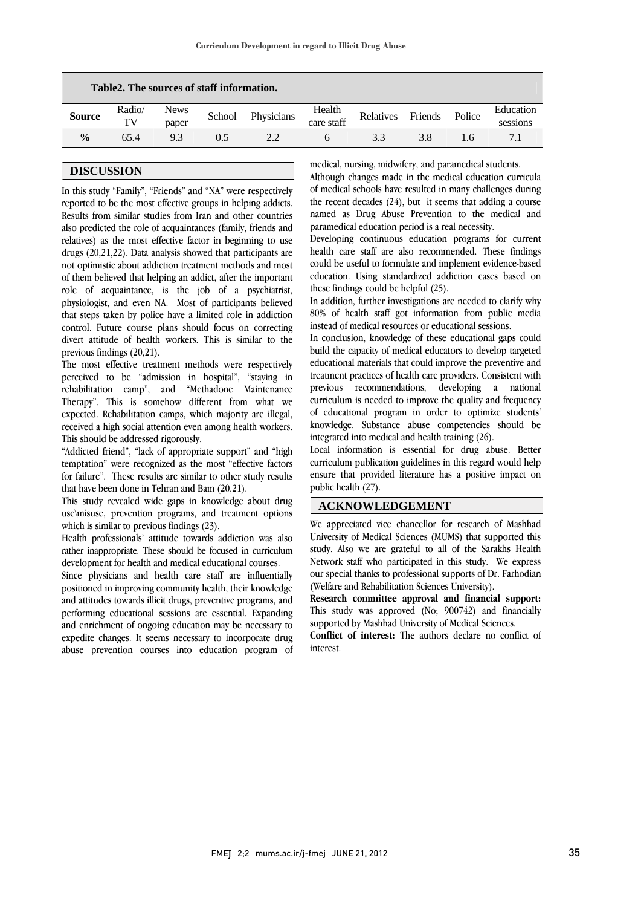| Table2. The sources of staff information. |              |                      |        |            |                      |           |         |               |                       |
|-------------------------------------------|--------------|----------------------|--------|------------|----------------------|-----------|---------|---------------|-----------------------|
| <b>Source</b>                             | Radio/<br>TV | <b>News</b><br>paper | School | Physicians | Health<br>care staff | Relatives | Friends | Police        | Education<br>sessions |
| $\frac{0}{0}$                             | 65.4         | 9.3                  | 0.5    | 2.2.       | h                    | 3.3       | 3.8     | $1.6^{\circ}$ | 7.1                   |

 $\overline{a}$  $\overline{a}$ 

# **DISCUSSION**

 In this study "Family", "Friends" and "NA" were respectively Results from similar studies from Iran and other countries also predicted the role of acquaintances (family, friends and relatives) as the most effective factor in beginning to use drugs (20,21,22). Data analysis showed that participants are of them believed that helping an addict, after the important role of acquaintance, is the job of a psychiatrist, physiologist, and even NA. Most of participants believed that steps taken by police have a limited role in addiction divert attitude of health workers. This is similar to the reported to be the most effective groups in helping addicts. not optimistic about addiction treatment methods and most control. Future course plans should focus on correcting previous findings (20,21).

 The most effective treatment methods were respectively perceived to be "admission in hospital", "staying in Therapy". This is somehow different from what we expected. Rehabilitation camps, which majority are illegal, received a high social attention even among health workers. rehabilitation camp", and "Methadone Maintenance This should be addressed rigorously.

 "Addicted friend", "lack of appropriate support" and "high temptation" were recognized as the most "effective factors for failure". These results are similar to other study results that have been done in Tehran and Bam (20,21).

 This study revealed wide gaps in knowledge about drug use\misuse, prevention programs, and treatment options which is similar to previous findings (23).

 Health professionals' attitude towards addiction was also rather inappropriate. These should be focused in curriculum development for health and medical educational courses.

 Since physicians and health care staff are influentially positioned in improving community health, their knowledge and attitudes towards illicit drugs, preventive programs, and performing educational sessions are essential. Expanding and emichinem of ongoing education may be necessary to<br>expedite changes. It seems necessary to incorporate drug abuse prevention courses into education program of and enrichment of ongoing education may be necessary to

medical, nursing, midwifery, and paramedical students.

 Although changes made in the medical education curricula of medical schools have resulted in many challenges during named as Drug Abuse Prevention to the medical and the recent decades (24), but it seems that adding a course paramedical education period is a real necessity.

 Developing continuous education programs for current health care staff are also recommended. These findings education. Using standardized addiction cases based on could be useful to formulate and implement evidence-based these findings could be helpful (25).

 In addition, further investigations are needed to clarify why 80% of health staff got information from public media instead of medical resources or educational sessions.

 In conclusion, knowledge of these educational gaps could build the capacity of medical educators to develop targeted educational materials that could improve the preventive and previous recommendations, developing a national curriculum is needed to improve the quality and frequency of educational program in order to optimize students' knowledge. Substance abuse competencies should be treatment practices of health care providers. Consistent with integrated into medical and health training (26).

 Local information is essential for drug abuse. Better curriculum publication guidelines in this regard would help ensure that provided literature has a positive impact on  $\overline{a}$ public health (27).

## **ACKNOWLEDGEMENT**

 We appreciated vice chancellor for research of Mashhad University of Medical Sciences (MUMS) that supported this study. Also we are grateful to all of the Sarakhs Health our special thanks to professional supports of Dr. Farhodian Network staff who participated in this study. We express (Welfare and Rehabilitation Sciences University).

 **Research committee approval and financial support:** This study was approved (No; 900742) and financially supported by Mashhad University of Medical Sciences.

 **Conflict of interest:** The authors declare no conflict of interest.